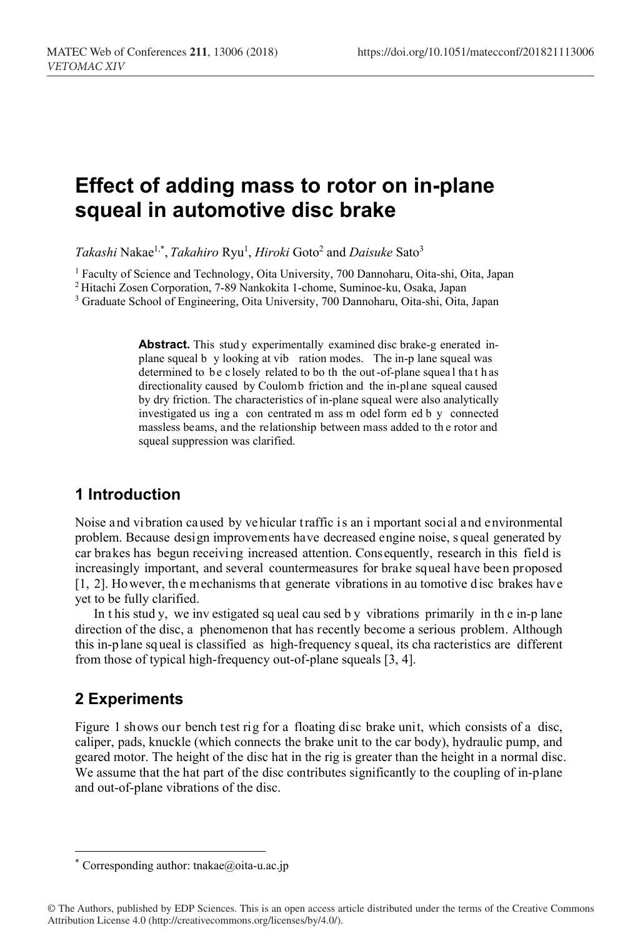# **Effect of adding mass to rotor on in-plane squeal in automotive disc brake**

*Takashi* Nakae1,\*, *Takahiro* Ryu1 , *Hiroki* Goto2 and *Daisuke* Sato3

<sup>1</sup> Faculty of Science and Technology, Oita University, 700 Dannoharu, Oita-shi, Oita, Japan<sup>2</sup> Hitachi Zosen Corporation, 7-89 Nankokita 1-chome, Suminoe-ku, Osaka, Japan<sup>3</sup> Graduate School of Engineering, Oita University

Abstract. This study experimentally examined disc brake-g enerated inplane squeal b y looking at vib ration modes. The in-p lane squeal was determined to be closely related to bo th the out-of-plane squeal that h as directionality caused by Coulomb friction and the in-plane squeal caused by dry friction. The characteristics of in-plane squeal were also analytically investigated us ing a con centrated m ass m odel form ed b y connected massless beams, and the relationship between mass added to th e rotor and squeal suppression was clarified.

## **1 Introduction**

Noise and vibration caused by vehicular traffic is an i mportant social and environmental problem. Because design improvements have decreased engine noise, s queal generated by car brakes has begun receiving increased attention. Consequently, research in this field is increasingly important, and several countermeasures for brake squeal have been proposed [1, 2]. However, the mechanisms that generate vibrations in au tomotive disc brakes have yet to be fully clarified.

In t his stud y, we inv estigated sq ueal cau sed b y vibrations primarily in th e in-p lane direction of the disc, a phenomenon that has recently become a serious problem. Although this in-p lane sq ueal is classified as high-frequency squeal, its cha racteristics are different from those of typical high-frequency out-of-plane squeals [3, 4].

# **2 Experiments**

 $\overline{a}$ 

Figure 1 shows our bench test rig for a floating disc brake unit, which consists of a disc, caliper, pads, knuckle (which connects the brake unit to the car body), hydraulic pump, and geared motor. The height of the disc hat in the rig is greater than the height in a normal disc. We assume that the hat part of the disc contributes significantly to the coupling of in-plane and out-of-plane vibrations of the disc.

<sup>\*</sup> Corresponding author: tnakae@oita-u.ac.jp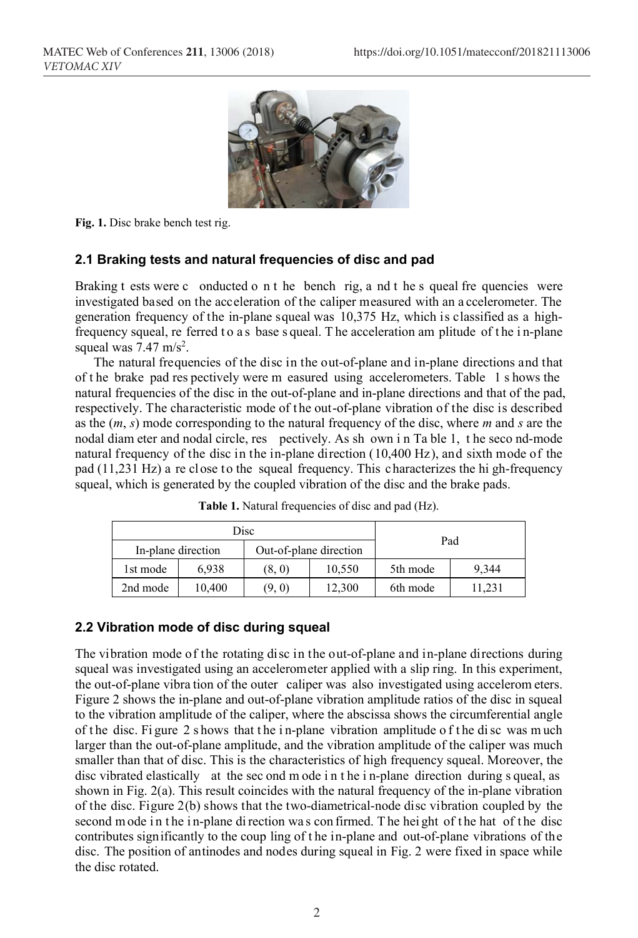

**Fig. 1.** Disc brake bench test rig.

### **2.1 Braking tests and natural frequencies of disc and pad**

Braking t ests were c onducted o n t he bench rig, a nd t he s queal fre quencies were investigated based on the acceleration of the caliper measured with an a ccelerometer. The generation frequency of the in-plane squeal was 10,375 Hz, which is classified as a highfrequency squeal, re ferred to a s base s queal. The acceleration am plitude of the in-plane squeal was  $7.47 \text{ m/s}^2$ .

The natural frequencies of the disc in the out-of-plane and in-plane directions and that of t he brake pad res pectively were m easured using accelerometers. Table 1 s hows the natural frequencies of the disc in the out-of-plane and in-plane directions and that of the pad, respectively. The characteristic mode of the out-of-plane vibration of the disc is described as the (*m*, *s*) mode corresponding to the natural frequency of the disc, where *m* and *s* are the nodal diam eter and nodal circle, res pectively. As sh own i n Ta ble 1, t he seco nd-mode natural frequency of the disc in the in-plane direction (10,400 Hz), and sixth mode of the pad (11,231 Hz) a re close to the squeal frequency. This characterizes the hi gh-frequency squeal, which is generated by the coupled vibration of the disc and the brake pads.

| Disc               |        |                        |        |          |        |
|--------------------|--------|------------------------|--------|----------|--------|
| In-plane direction |        | Out-of-plane direction |        | Pad      |        |
| 1st mode           | 6.938  | (8, 0)                 | 10.550 | 5th mode | 9.344  |
| 2nd mode           | 10.400 | (9, 0)                 | 12,300 | 6th mode | 11.231 |

**Table 1.** Natural frequencies of disc and pad (Hz).

### **2.2 Vibration mode of disc during squeal**

The vibration mode of the rotating disc in the out-of-plane and in-plane directions during squeal was investigated using an accelerometer applied with a slip ring. In this experiment, the out-of-plane vibra tion of the outer caliper was also investigated using accelerom eters. Figure 2 shows the in-plane and out-of-plane vibration amplitude ratios of the disc in squeal to the vibration amplitude of the caliper, where the abscissa shows the circumferential angle of t he disc. Fi gure 2 s hows that t he i n-plane vibration amplitude o f t he di sc was m uch larger than the out-of-plane amplitude, and the vibration amplitude of the caliper was much smaller than that of disc. This is the characteristics of high frequency squeal. Moreover, the disc vibrated elastically at the sec ond m ode i n t he i n-plane direction during s queal, as shown in Fig. 2(a). This result coincides with the natural frequency of the in-plane vibration of the disc. Figure 2(b) shows that the two-diametrical-node disc vibration coupled by the second mode in the in-plane di rection was confirmed. The height of the hat of the disc contributes significantly to the coup ling of t he in-plane and out-of-plane vibrations of the disc. The position of antinodes and nodes during squeal in Fig. 2 were fixed in space while the disc rotated.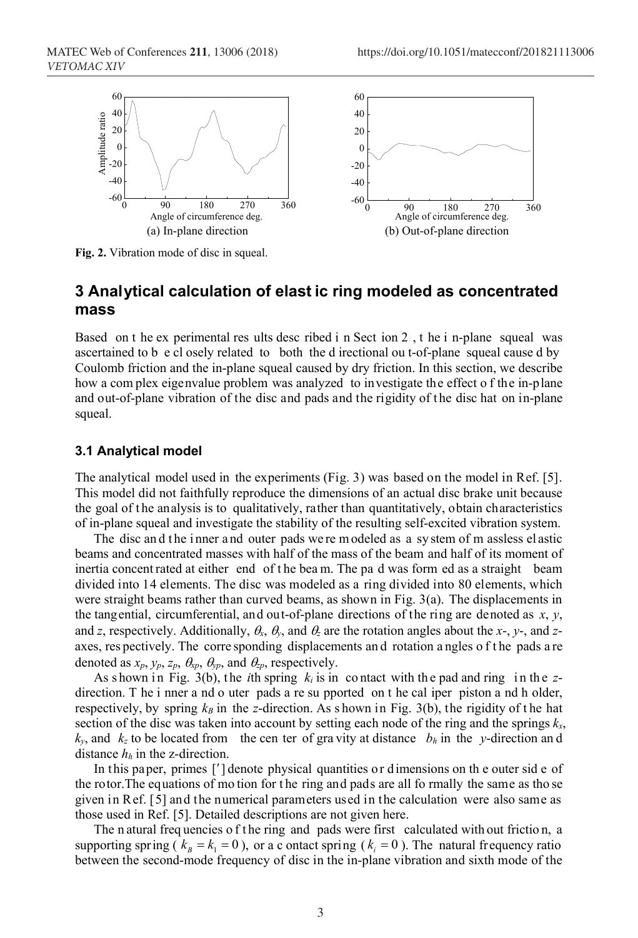

**Fig. 2.** Vibration mode of disc in squeal.

# **3 Analytical calculation of elast ic ring modeled as concentrated mass**

Based on t he ex perimental res ults desc ribed i n Sect ion 2 , t he i n-plane squeal was ascertained to b e cl osely related to both the d irectional ou t-of-plane squeal cause d by Coulomb friction and the in-plane squeal caused by dry friction. In this section, we describe how a com plex eigenvalue problem was analyzed to investigate the effect o f the in-plane and out-of-plane vibration of the disc and pads and the rigidity of t he disc hat on in-plane squeal.

#### **3.1 Analytical model**

The analytical model used in the experiments (Fig. 3) was based on the model in Ref. [5]. This model did not faithfully reproduce the dimensions of an actual disc brake unit because the goal of t he analysis is to qualitatively, rather than quantitatively, obtain characteristics of in-plane squeal and investigate the stability of the resulting self-excited vibration system.

The disc and the inner and outer pads we rem odeled as a system of m assless el astic beams and concentrated masses with half of the mass of the beam and half of its moment of inertia concent rated at either end of the beam. The pa d was form ed as a straight beam divided into 14 elements. The disc was modeled as a ring divided into 80 elements, which were straight beams rather than curved beams, as shown in Fig.  $3(a)$ . The displacements in the tangential, circumferential, and out-of-plane directions of the ring are denoted as *x*, *y*, and *z*, respectively. Additionally,  $\theta_x$ ,  $\theta_y$ , and  $\theta_z$  are the rotation angles about the *x*-, *y*-, and *z*axes, res pectively. The corre sponding displacements and rotation a ngles of the pads a re denoted as  $x_p$ ,  $y_p$ ,  $z_p$ ,  $\theta_{xp}$ ,  $\theta_{yp}$ , and  $\theta_{zp}$ , respectively.

As shown in Fig. 3(b), the *i*th spring  $k_i$  is in contact with the pad and ring in the zdirection. T he i nner a nd o uter pads a re su pported on t he cal iper piston a nd h older, respectively, by spring  $k_B$  in the *z*-direction. As shown in Fig. 3(b), the rigidity of the hat section of the disc was taken into account by setting each node of the ring and the springs  $k_x$ ,  $k_y$ , and  $k_z$  to be located from the cen ter of gravity at distance  $b_h$  in the *y*-direction and distance  $h_h$  in the z-direction.

In this paper, primes ['] denote physical quantities or dimensions on the outer side of the rotor.The equations of mo tion for t he ring and pads are all fo rmally the same as tho se given in Ref. [5] and the numerical parameters used in the calculation were also same as those used in Ref. [5]. Detailed descriptions are not given here.

The n atural frequencies of the ring and pads were first calculated with out friction, a supporting spring ( $k_B = k_1 = 0$ ), or a c ontact spring ( $k_i = 0$ ). The natural frequency ratio between the second-mode frequency of disc in the in-plane vibration and sixth mode of the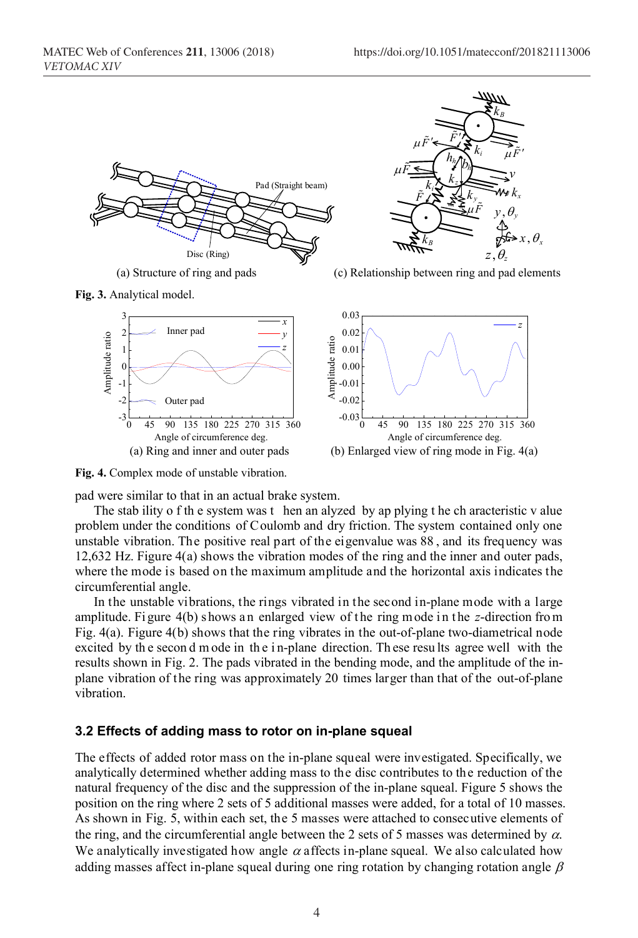





(a) Structure of ring and pads (a) Structure of ring and pads (c) Relationship between ring and pad elements





**Fig. 4.** Complex mode of unstable vibration.

pad were similar to that in an actual brake system.

The stab ility o f th e system was t hen an alyzed by ap plying t he ch aracteristic v alue problem under the conditions of Coulomb and dry friction. The system contained only one unstable vibration. The positive real part of the eigenvalue was 88 , and its frequency was 12,632 Hz. Figure 4(a) shows the vibration modes of the ring and the inner and outer pads, where the mode is based on the maximum amplitude and the horizontal axis indicates the circumferential angle.

In the unstable vibrations, the rings vibrated in the second in-plane mode with a large amplitude. Figure 4(b) shows an enlarged view of the ring mode in the *z*-direction from Fig. 4(a). Figure 4(b) shows that the ring vibrates in the out-of-plane two-diametrical node excited by th e secon d m ode in th e i n-plane direction. Th ese resu lts agree well with the results shown in Fig. 2. The pads vibrated in the bending mode, and the amplitude of the inplane vibration of the ring was approximately 20 times larger than that of the out-of-plane vibration.

### **3.2 Effects of adding mass to rotor on in-plane squeal**

The effects of added rotor mass on the in-plane squeal were investigated. Specifically, we analytically determined whether adding mass to the disc contributes to the reduction of the natural frequency of the disc and the suppression of the in-plane squeal. Figure 5 shows the position on the ring where 2 sets of 5 additional masses were added, for a total of 10 masses. As shown in Fig. 5, within each set, the 5 masses were attached to consecutive elements of the ring, and the circumferential angle between the 2 sets of 5 masses was determined by  $\alpha$ . We analytically investigated how angle  $\alpha$  affects in-plane squeal. We also calculated how adding masses affect in-plane squeal during one ring rotation by changing rotation angle  $\beta$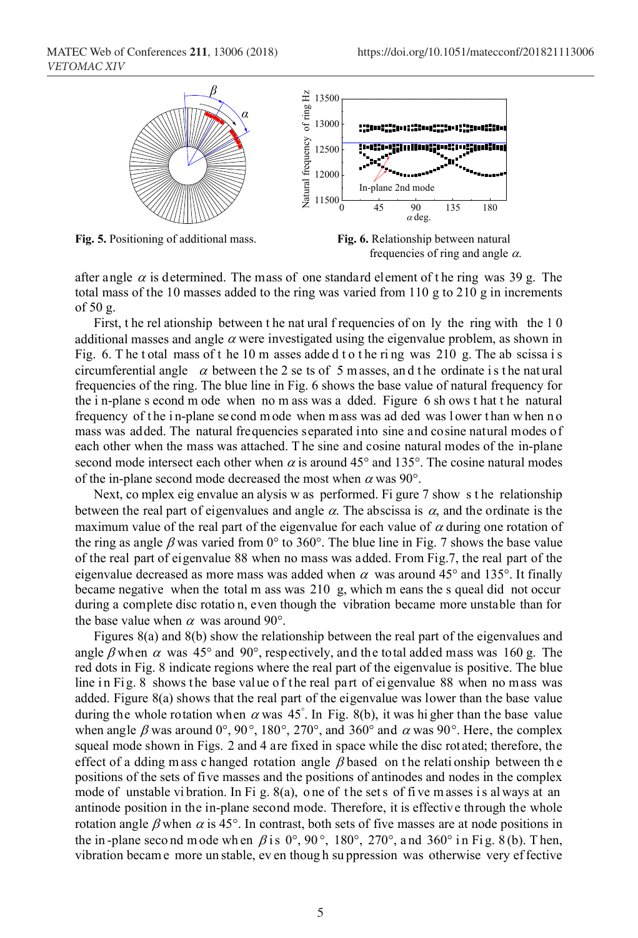

**Fig. 5.** Positioning of additional mass. **Fig. 6.** Relationship between natural



after angle  $\alpha$  is determined. The mass of one standard element of the ring was 39 g. The total mass of the 10 masses added to the ring was varied from 110 g to 210 g in increments of 50 g.

First, the rel ationship between the nat ural f requencies of on ly the ring with the 10 additional masses and angle  $\alpha$  were investigated using the eigenvalue problem, as shown in Fig. 6. The t otal mass of the 10 m asses added t o the ring was 210 g. The ab scissa is circumferential angle  $\alpha$  between the 2 se ts of 5 m asses, and the ordinate is the natural frequencies of the ring. The blue line in Fig. 6 shows the base value of natural frequency for the i n-plane s econd m ode when no m ass was a dded. Figure 6 sh ows t hat t he natural frequency of the in-plane se cond mode when mass was ad ded was lower than when no mass was added. The natural frequencies separated into sine and cosine natural modes of each other when the mass was attached. T he sine and cosine natural modes of the in-plane second mode intersect each other when  $\alpha$  is around 45° and 135°. The cosine natural modes of the in-plane second mode decreased the most when  $\alpha$  was 90°.

Next, co mplex eig envalue an alysis w as performed. Fi gure 7 show s t he relationship between the real part of eigenvalues and angle  $\alpha$ . The abscissa is  $\alpha$ , and the ordinate is the maximum value of the real part of the eigenvalue for each value of  $\alpha$  during one rotation of the ring as angle  $\beta$  was varied from 0° to 360°. The blue line in Fig. 7 shows the base value of the real part of eigenvalue 88 when no mass was added. From Fig.7, the real part of the eigenvalue decreased as more mass was added when  $\alpha$  was around 45° and 135°. It finally became negative when the total m ass was 210 g, which m eans the s queal did not occur during a complete disc rotatio n, even though the vibration became more unstable than for the base value when  $\alpha$  was around 90°.

Figures 8(a) and 8(b) show the relationship between the real part of the eigenvalues and angle  $\beta$  when  $\alpha$  was 45° and 90°, respectively, and the total added mass was 160 g. The red dots in Fig. 8 indicate regions where the real part of the eigenvalue is positive. The blue line in Fig. 8 shows the base value of the real part of eigenvalue 88 when no mass was added. Figure 8(a) shows that the real part of the eigenvalue was lower than the base value during the whole rotation when  $\alpha$  was 45°. In Fig. 8(b), it was hi gher than the base value when angle  $\beta$  was around 0°, 90°, 180°, 270°, and 360° and  $\alpha$  was 90°. Here, the complex squeal mode shown in Figs. 2 and 4 are fixed in space while the disc rotated; therefore, the effect of a dding m ass c hanged rotation angle  $\beta$  based on the relationship between the positions of the sets of five masses and the positions of antinodes and nodes in the complex mode of unstable vi bration. In Fi g.  $8(a)$ , one of the set s of five masses is always at an antinode position in the in-plane second mode. Therefore, it is effective through the whole rotation angle  $\beta$  when  $\alpha$  is 45°. In contrast, both sets of five masses are at node positions in the in-plane second mode wh en  $\beta$  is 0°, 90°, 180°, 270°, and 360° in Fig. 8(b). Then, vibration becam e more un stable, ev en thoug h su ppression was otherwise very ef fective